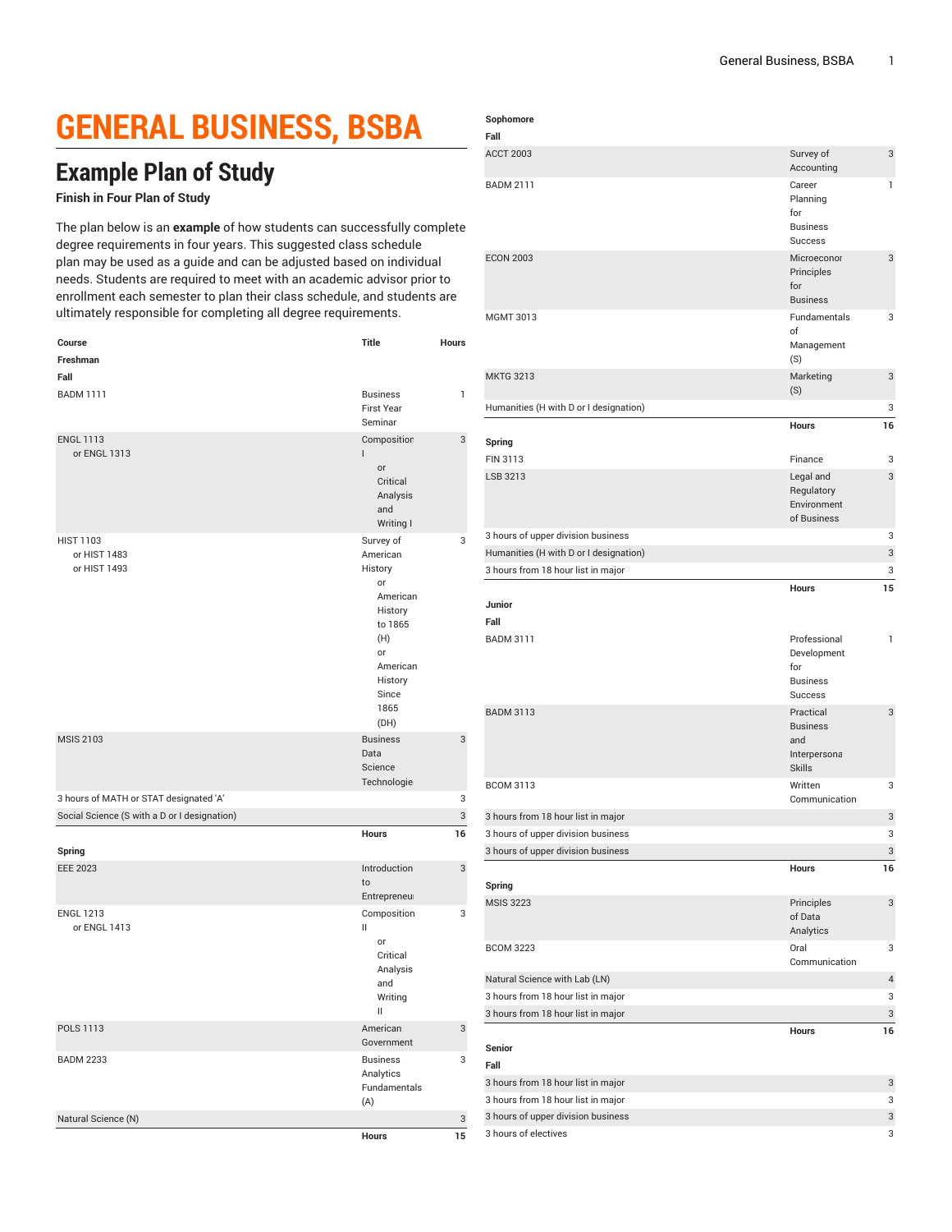## **GENERAL BUSINESS, BSBA**

## **Example Plan of Study**

## **Finish in Four Plan of Study**

The plan below is an **example** of how students can successfully complete degree requirements in four years. This suggested class schedule plan may be used as a guide and can be adjusted based on individual needs. Students are required to meet with an academic advisor prior to enrollment each semester to plan their class schedule, and students are ultimately responsible for completing all degree requirements.

| Course                                           | Title                                                                                                                                 | Hours        |
|--------------------------------------------------|---------------------------------------------------------------------------------------------------------------------------------------|--------------|
| Freshman                                         |                                                                                                                                       |              |
| Fall                                             |                                                                                                                                       |              |
| <b>BADM 1111</b>                                 | <b>Business</b><br><b>First Year</b><br>Seminar                                                                                       | $\mathbf{1}$ |
| <b>ENGL 1113</b><br>or ENGL 1313                 | Composition<br>L<br>or<br>Critical<br>Analysis                                                                                        | 3            |
|                                                  | and<br>Writing I                                                                                                                      |              |
| <b>HIST 1103</b><br>or HIST 1483<br>or HIST 1493 | Survey of<br>American<br>History<br>or<br>American<br>History<br>to 1865<br>(H)<br>or<br>American<br>History<br>Since<br>1865<br>(DH) | 3            |
| <b>MSIS 2103</b>                                 | <b>Business</b><br>Data<br>Science<br>Technologie:                                                                                    | 3            |
| 3 hours of MATH or STAT designated 'A'           |                                                                                                                                       | 3            |
| Social Science (S with a D or I designation)     |                                                                                                                                       | 3            |
| Spring                                           | Hours                                                                                                                                 | 16           |
| <b>EEE 2023</b>                                  | Introduction<br>to<br>Entrepreneur                                                                                                    | 3            |
| <b>ENGL 1213</b><br>or ENGL 1413                 | Composition<br>Ш<br>or<br>Critical<br>Analysis<br>and<br>Writing<br>$\mathsf{I}$                                                      | 3            |
| POLS 1113                                        | American<br>Government                                                                                                                | 3            |
| <b>BADM 2233</b>                                 | <b>Business</b><br>Analytics<br>Fundamentals<br>(A)                                                                                   | 3            |
| Natural Science (N)                              |                                                                                                                                       | 3            |
|                                                  | Hours                                                                                                                                 | 15           |

| Sophomore |
|-----------|
|-----------|

| Fall                                                                     |                                                                         |                |
|--------------------------------------------------------------------------|-------------------------------------------------------------------------|----------------|
| <b>ACCT 2003</b>                                                         | Survey of<br>Accounting                                                 | 3              |
| <b>BADM 2111</b>                                                         | Career<br>Planning<br>for                                               | 1              |
|                                                                          | <b>Business</b><br><b>Success</b>                                       |                |
| <b>ECON 2003</b>                                                         | Microeconor<br>Principles<br>for<br><b>Business</b>                     | 3              |
| <b>MGMT 3013</b>                                                         | Fundamentals<br>of<br>Management<br>(S)                                 | 3              |
| <b>MKTG 3213</b>                                                         | Marketing<br>(S)                                                        | 3              |
| Humanities (H with D or I designation)                                   |                                                                         | 3              |
|                                                                          | <b>Hours</b>                                                            | 16             |
| Spring<br>FIN 3113                                                       | Finance                                                                 | 3              |
| LSB 3213                                                                 | Legal and                                                               | 3              |
|                                                                          | Regulatory<br>Environment<br>of Business                                |                |
| 3 hours of upper division business                                       |                                                                         | 3              |
| Humanities (H with D or I designation)                                   |                                                                         | 3              |
| 3 hours from 18 hour list in major                                       |                                                                         | 3              |
|                                                                          | Hours                                                                   | 15             |
| Junior                                                                   |                                                                         |                |
| Fall                                                                     |                                                                         |                |
| <b>BADM 3111</b>                                                         | Professional<br>Development<br>for<br><b>Business</b><br><b>Success</b> | $\mathbf{1}$   |
| <b>BADM 3113</b>                                                         | Practical<br><b>Business</b><br>and<br>Interpersona<br><b>Skills</b>    | 3              |
| <b>BCOM 3113</b>                                                         | Written<br>Communication                                                | 3              |
| 3 hours from 18 hour list in major                                       |                                                                         | 3              |
| 3 hours of upper division business                                       |                                                                         | 3              |
| 3 hours of upper division business                                       |                                                                         | 3              |
| Spring                                                                   | Hours                                                                   | 16             |
| <b>MSIS 3223</b>                                                         | Principles<br>of Data<br>Analytics                                      | 3              |
| <b>BCOM 3223</b>                                                         | Oral<br>Communication                                                   | 3              |
| Natural Science with Lab (LN)                                            |                                                                         | $\overline{4}$ |
| 3 hours from 18 hour list in major                                       |                                                                         | 3              |
| 3 hours from 18 hour list in major                                       |                                                                         | 3              |
| Senior                                                                   | <b>Hours</b>                                                            | 16             |
| Fall                                                                     |                                                                         | 3              |
| 3 hours from 18 hour list in major<br>3 hours from 18 hour list in major |                                                                         | 3              |
| 3 hours of upper division business                                       |                                                                         | 3              |
| 3 hours of electives                                                     |                                                                         | 3              |
|                                                                          |                                                                         |                |